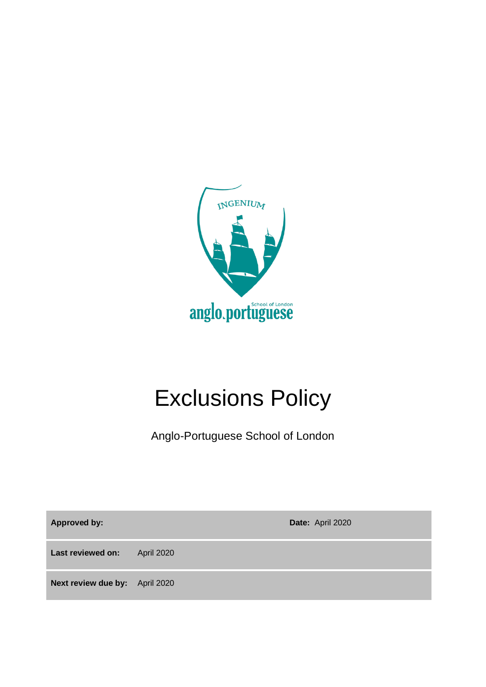

# Exclusions Policy

Anglo-Portuguese School of London

**Approved by: Date:** April 2020

**Last reviewed on:** April 2020

**Next review due by:** April 2020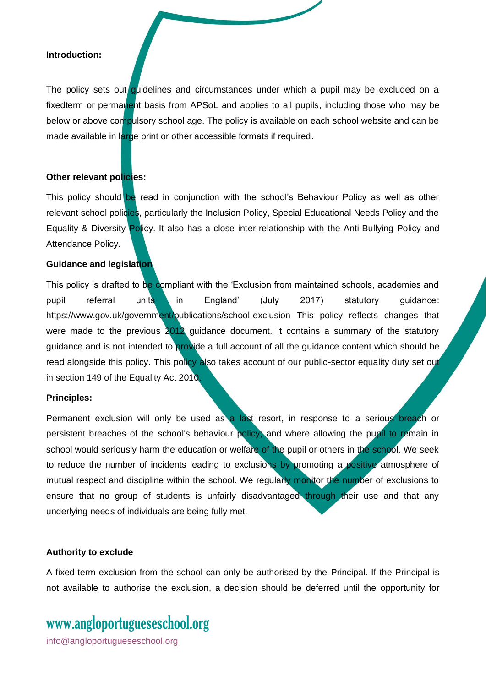#### **Introduction:**

The policy sets out quidelines and circumstances under which a pupil may be excluded on a fixedterm or permanent basis from APSoL and applies to all pupils, including those who may be below or above compulsory school age. The policy is available on each school website and can be made available in large print or other accessible formats if required.

#### **Other relevant policies:**

This policy should be read in conjunction with the school's Behaviour Policy as well as other relevant school policies, particularly the Inclusion Policy, Special Educational Needs Policy and the Equality & Diversity Policy. It also has a close inter-relationship with the Anti-Bullying Policy and Attendance Policy.

#### **Guidance and legislation**

This policy is drafted to be compliant with the 'Exclusion from maintained schools, academies and pupil referral units in England' (July 2017) statutory guidance: https://www.gov.uk/government/publications/school-exclusion This policy reflects changes that were made to the previous 2012 guidance document. It contains a summary of the statutory guidance and is not intended to provide a full account of all the guidance content which should be read alongside this policy. This policy also takes account of our public-sector equality duty set out in section 149 of the Equality Act 2010.

#### **Principles:**

Permanent exclusion will only be used as a last resort, in response to a serious breach or persistent breaches of the school's behaviour policy; and where allowing the pupil to remain in school would seriously harm the education or welfare of the pupil or others in the school. We seek to reduce the number of incidents leading to exclusions by promoting a positive atmosphere of mutual respect and discipline within the school. We regularly monitor the number of exclusions to ensure that no group of students is unfairly disadvantaged through their use and that any underlying needs of individuals are being fully met.

#### **Authority to exclude**

A fixed-term exclusion from the school can only be authorised by the Principal. If the Principal is not available to authorise the exclusion, a decision should be deferred until the opportunity for

### www[.angloportugueseschool.org](https://angloportugueseschool.org/)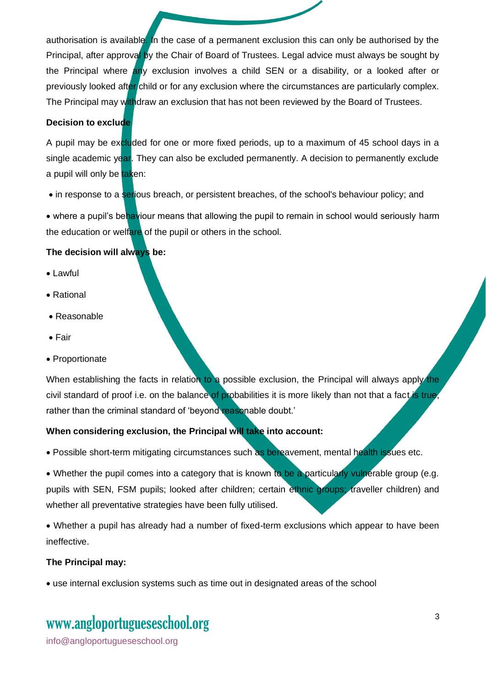authorisation is available. In the case of a permanent exclusion this can only be authorised by the Principal, after approval by the Chair of Board of Trustees. Legal advice must always be sought by the Principal where any exclusion involves a child SEN or a disability, or a looked after or previously looked after child or for any exclusion where the circumstances are particularly complex. The Principal may withdraw an exclusion that has not been reviewed by the Board of Trustees.

#### **Decision to exclude**

A pupil may be excluded for one or more fixed periods, up to a maximum of 45 school days in a single academic year. They can also be excluded permanently. A decision to permanently exclude a pupil will only be taken:

• in response to a serious breach, or persistent breaches, of the school's behaviour policy; and

• where a pupil's behaviour means that allowing the pupil to remain in school would seriously harm the education or welfare of the pupil or others in the school.

#### **The decision will always be:**

- Lawful
- Rational
- Reasonable
- Fair
- Proportionate

When establishing the facts in relation to a possible exclusion, the Principal will always apply the civil standard of proof i.e. on the balance of probabilities it is more likely than not that a fact is true, rather than the criminal standard of 'beyond reasonable doubt.'

#### **When considering exclusion, the Principal will take into account:**

• Possible short-term mitigating circumstances such as bereavement, mental health issues etc.

• Whether the pupil comes into a category that is known to be a particularly vulnerable group (e.g. pupils with SEN, FSM pupils; looked after children; certain ethnic groups; traveller children) and whether all preventative strategies have been fully utilised.

• Whether a pupil has already had a number of fixed-term exclusions which appear to have been ineffective.

#### **The Principal may:**

• use internal exclusion systems such as time out in designated areas of the school

### www[.angloportugueseschool.org](https://angloportugueseschool.org/)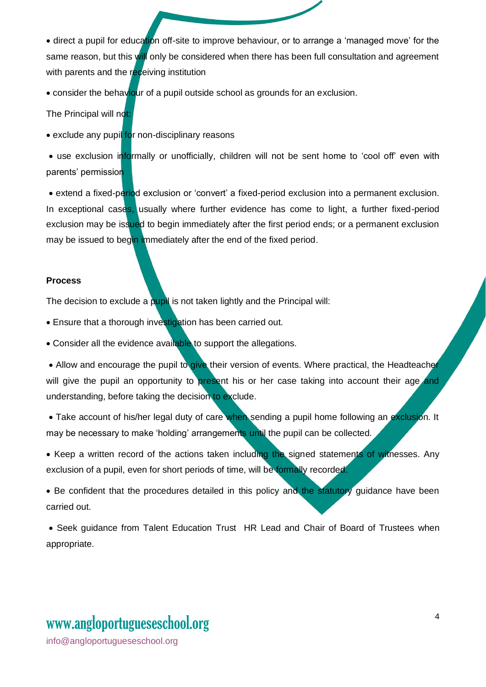• direct a pupil for education off-site to improve behaviour, or to arrange a 'managed move' for the same reason, but this will only be considered when there has been full consultation and agreement with parents and the receiving institution

• consider the behaviour of a pupil outside school as grounds for an exclusion.

The Principal will not:

• exclude any pupil for non-disciplinary reasons

• use exclusion informally or unofficially, children will not be sent home to 'cool off' even with parents' permission

• extend a fixed-period exclusion or 'convert' a fixed-period exclusion into a permanent exclusion. In exceptional cases, usually where further evidence has come to light, a further fixed-period exclusion may be issued to begin immediately after the first period ends; or a permanent exclusion may be issued to begin immediately after the end of the fixed period.

#### **Process**

The decision to exclude a pupil is not taken lightly and the Principal will:

• Ensure that a thorough investigation has been carried out.

• Consider all the evidence available to support the allegations.

• Allow and encourage the pupil to give their version of events. Where practical, the Headteacher will give the pupil an opportunity to present his or her case taking into account their age and understanding, before taking the decision to exclude.

• Take account of his/her legal duty of care when sending a pupil home following an exclusion. It may be necessary to make 'holding' arrangements until the pupil can be collected.

• Keep a written record of the actions taken including the signed statements of witnesses. Any exclusion of a pupil, even for short periods of time, will be formally recorded.

• Be confident that the procedures detailed in this policy and the statutory guidance have been carried out.

• Seek guidance from Talent Education Trust HR Lead and Chair of Board of Trustees when appropriate.

## www[.angloportugueseschool.org](https://angloportugueseschool.org/)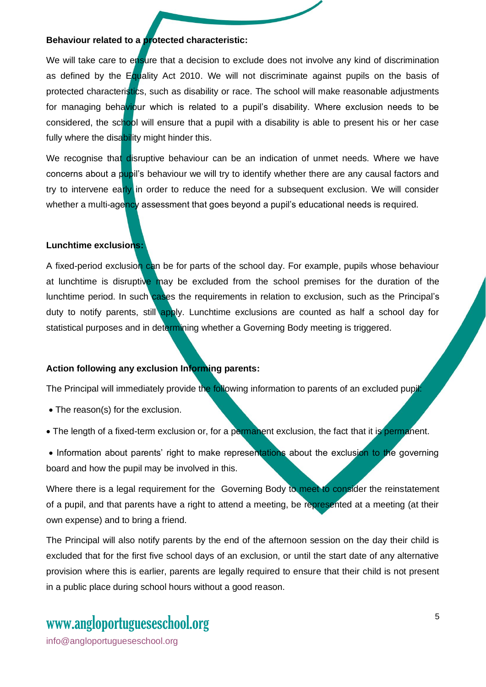#### **Behaviour related to a protected characteristic:**

We will take care to ensure that a decision to exclude does not involve any kind of discrimination as defined by the Equality Act 2010. We will not discriminate against pupils on the basis of protected characteristics, such as disability or race. The school will make reasonable adjustments for managing behaviour which is related to a pupil's disability. Where exclusion needs to be considered, the school will ensure that a pupil with a disability is able to present his or her case fully where the disability might hinder this.

We recognise that disruptive behaviour can be an indication of unmet needs. Where we have concerns about a pupil's behaviour we will try to identify whether there are any causal factors and try to intervene early in order to reduce the need for a subsequent exclusion. We will consider whether a multi-agency assessment that goes beyond a pupil's educational needs is required.

#### **Lunchtime exclusions:**

A fixed-period exclusion can be for parts of the school day. For example, pupils whose behaviour at lunchtime is disruptive may be excluded from the school premises for the duration of the lunchtime period. In such cases the requirements in relation to exclusion, such as the Principal's duty to notify parents, still apply. Lunchtime exclusions are counted as half a school day for statistical purposes and in determining whether a Governing Body meeting is triggered.

#### **Action following any exclusion Informing parents:**

The Principal will immediately provide the following information to parents of an excluded pupil:

- The reason(s) for the exclusion.
- The length of a fixed-term exclusion or, for a permanent exclusion, the fact that it is permanent.
- Information about parents' right to make representations about the exclusion to the governing board and how the pupil may be involved in this.

Where there is a legal requirement for the Governing Body to meet to consider the reinstatement of a pupil, and that parents have a right to attend a meeting, be represented at a meeting (at their own expense) and to bring a friend.

The Principal will also notify parents by the end of the afternoon session on the day their child is excluded that for the first five school days of an exclusion, or until the start date of any alternative provision where this is earlier, parents are legally required to ensure that their child is not present in a public place during school hours without a good reason.

### www[.angloportugueseschool.org](https://angloportugueseschool.org/)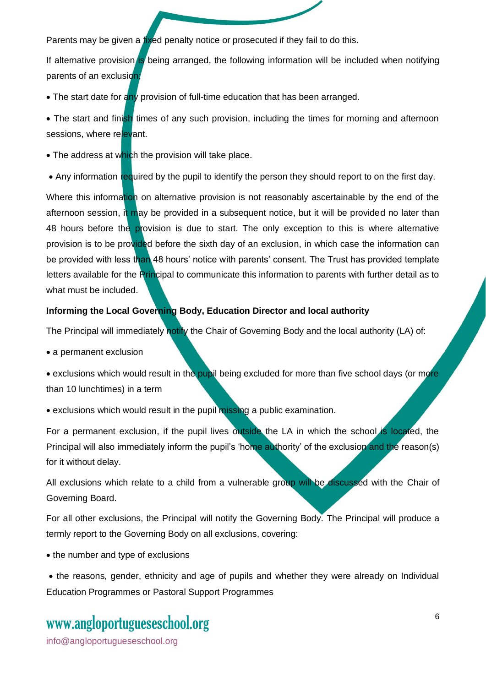Parents may be given a fixed penalty notice or prosecuted if they fail to do this.

If alternative provision is being arranged, the following information will be included when notifying parents of an exclusion!

• The start date for any provision of full-time education that has been arranged.

• The start and finish times of any such provision, including the times for morning and afternoon sessions, where relevant.

• The address at which the provision will take place.

• Any information required by the pupil to identify the person they should report to on the first day.

Where this information on alternative provision is not reasonably ascertainable by the end of the afternoon session, it may be provided in a subsequent notice, but it will be provided no later than 48 hours before the provision is due to start. The only exception to this is where alternative provision is to be provided before the sixth day of an exclusion, in which case the information can be provided with less than 48 hours' notice with parents' consent. The Trust has provided template letters available for the Principal to communicate this information to parents with further detail as to what must be included.

#### **Informing the Local Governing Body, Education Director and local authority**

The Principal will immediately notify the Chair of Governing Body and the local authority (LA) of:

• a permanent exclusion

• exclusions which would result in the pupil being excluded for more than five school days (or more than 10 lunchtimes) in a term

• exclusions which would result in the pupil missing a public examination.

For a permanent exclusion, if the pupil lives outside the LA in which the school is located, the Principal will also immediately inform the pupil's 'home authority' of the exclusion and the reason(s) for it without delay.

All exclusions which relate to a child from a vulnerable group will be discussed with the Chair of Governing Board.

For all other exclusions, the Principal will notify the Governing Body. The Principal will produce a termly report to the Governing Body on all exclusions, covering:

• the number and type of exclusions

• the reasons, gender, ethnicity and age of pupils and whether they were already on Individual Education Programmes or Pastoral Support Programmes

### www[.angloportugueseschool.org](https://angloportugueseschool.org/)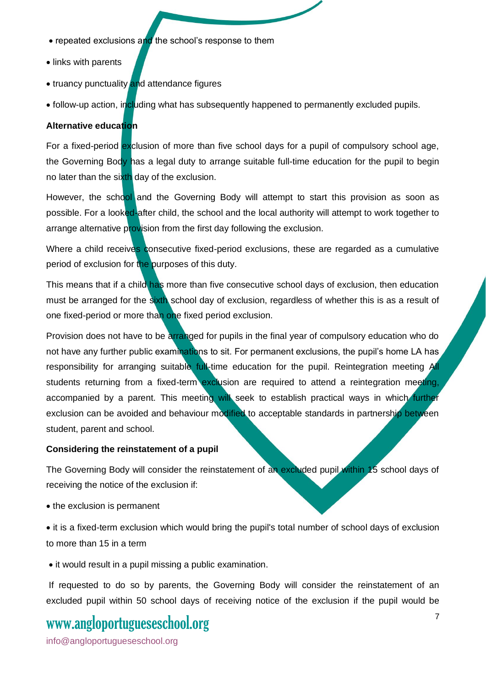- repeated exclusions and the school's response to them
- links with parents
- truancy punctuality and attendance figures
- follow-up action, including what has subsequently happened to permanently excluded pupils.

#### **Alternative education**

For a fixed-period exclusion of more than five school days for a pupil of compulsory school age, the Governing Body has a legal duty to arrange suitable full-time education for the pupil to begin no later than the sixth day of the exclusion.

However, the school and the Governing Body will attempt to start this provision as soon as possible. For a looked-after child, the school and the local authority will attempt to work together to arrange alternative provision from the first day following the exclusion.

Where a child receives consecutive fixed-period exclusions, these are regarded as a cumulative period of exclusion for the purposes of this duty.

This means that if a child has more than five consecutive school days of exclusion, then education must be arranged for the sixth school day of exclusion, regardless of whether this is as a result of one fixed-period or more than one fixed period exclusion.

Provision does not have to be arranged for pupils in the final year of compulsory education who do not have any further public examinations to sit. For permanent exclusions, the pupil's home LA has responsibility for arranging suitable full-time education for the pupil. Reintegration meeting All students returning from a fixed-term exclusion are required to attend a reintegration meeting, accompanied by a parent. This meeting will seek to establish practical ways in which further exclusion can be avoided and behaviour modified to acceptable standards in partnership between student, parent and school.

#### **Considering the reinstatement of a pupil**

The Governing Body will consider the reinstatement of an excluded pupil within 15 school days of receiving the notice of the exclusion if:

• the exclusion is permanent

• it is a fixed-term exclusion which would bring the pupil's total number of school days of exclusion to more than 15 in a term

• it would result in a pupil missing a public examination.

If requested to do so by parents, the Governing Body will consider the reinstatement of an excluded pupil within 50 school days of receiving notice of the exclusion if the pupil would be

### www[.angloportugueseschool.org](https://angloportugueseschool.org/)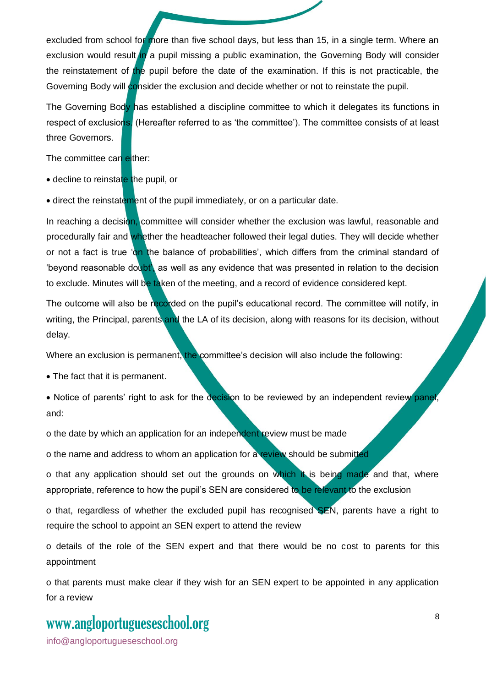excluded from school for more than five school days, but less than 15, in a single term. Where an exclusion would result in a pupil missing a public examination, the Governing Body will consider the reinstatement of the pupil before the date of the examination. If this is not practicable, the Governing Body will consider the exclusion and decide whether or not to reinstate the pupil.

The Governing Body has established a discipline committee to which it delegates its functions in respect of exclusions. (Hereafter referred to as 'the committee'). The committee consists of at least three Governors.

The committee can either:

• decline to reinstate the pupil, or

• direct the reinstatement of the pupil immediately, or on a particular date.

In reaching a decision, committee will consider whether the exclusion was lawful, reasonable and procedurally fair and whether the headteacher followed their legal duties. They will decide whether or not a fact is true 'on the balance of probabilities', which differs from the criminal standard of 'beyond reasonable doubt', as well as any evidence that was presented in relation to the decision to exclude. Minutes will be taken of the meeting, and a record of evidence considered kept.

The outcome will also be recorded on the pupil's educational record. The committee will notify, in writing, the Principal, parents and the LA of its decision, along with reasons for its decision, without delay.

Where an exclusion is permanent, the committee's decision will also include the following:

• The fact that it is permanent.

• Notice of parents' right to ask for the decision to be reviewed by an independent review panel, and:

o the date by which an application for an independent review must be made

o the name and address to whom an application for a review should be submitted

o that any application should set out the grounds on which it is being made and that, where appropriate, reference to how the pupil's SEN are considered to be relevant to the exclusion

o that, regardless of whether the excluded pupil has recognised SEN, parents have a right to require the school to appoint an SEN expert to attend the review

o details of the role of the SEN expert and that there would be no cost to parents for this appointment

o that parents must make clear if they wish for an SEN expert to be appointed in any application for a review

### www[.angloportugueseschool.org](https://angloportugueseschool.org/)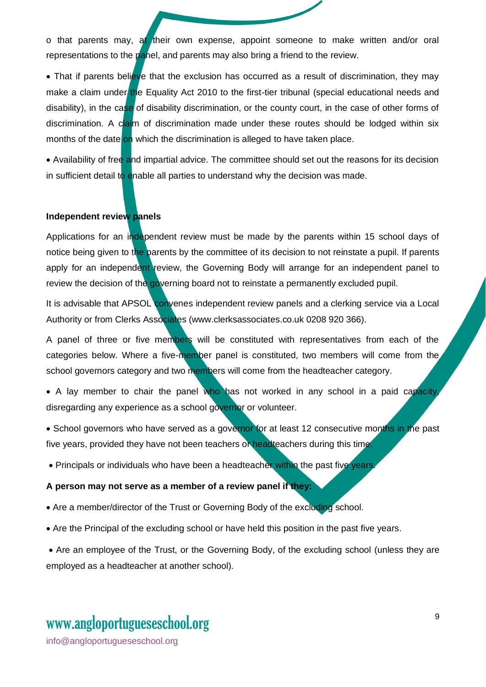o that parents may, at their own expense, appoint someone to make written and/or oral representations to the panel, and parents may also bring a friend to the review.

• That if parents believe that the exclusion has occurred as a result of discrimination, they may make a claim under the Equality Act 2010 to the first-tier tribunal (special educational needs and disability), in the case of disability discrimination, or the county court, in the case of other forms of discrimination. A claim of discrimination made under these routes should be lodged within six months of the date on which the discrimination is alleged to have taken place.

• Availability of free and impartial advice. The committee should set out the reasons for its decision in sufficient detail to enable all parties to understand why the decision was made.

#### **Independent review panels**

Applications for an independent review must be made by the parents within 15 school days of notice being given to the parents by the committee of its decision to not reinstate a pupil. If parents apply for an independent review, the Governing Body will arrange for an independent panel to review the decision of the governing board not to reinstate a permanently excluded pupil.

It is advisable that APSOL convenes independent review panels and a clerking service via a Local Authority or from Clerks Associates (www.clerksassociates.co.uk 0208 920 366).

A panel of three or five members will be constituted with representatives from each of the categories below. Where a five-member panel is constituted, two members will come from the school governors category and two members will come from the headteacher category.

• A lay member to chair the panel who has not worked in any school in a paid capacity, disregarding any experience as a school governor or volunteer.

• School governors who have served as a governor for at least 12 consecutive months in the past five years, provided they have not been teachers or headteachers during this time.

• Principals or individuals who have been a headteacher within the past five years.

#### **A person may not serve as a member of a review panel if they:**

• Are a member/director of the Trust or Governing Body of the excluding school.

• Are the Principal of the excluding school or have held this position in the past five years.

• Are an employee of the Trust, or the Governing Body, of the excluding school (unless they are employed as a headteacher at another school).

### www[.angloportugueseschool.org](https://angloportugueseschool.org/)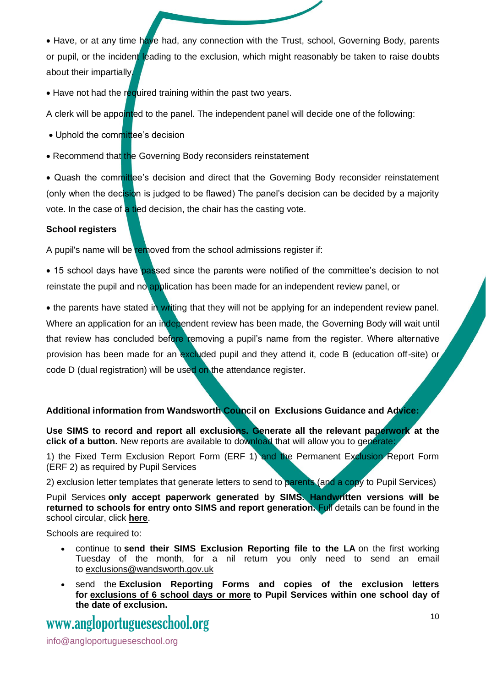• Have, or at any time have had, any connection with the Trust, school, Governing Body, parents or pupil, or the incident leading to the exclusion, which might reasonably be taken to raise doubts about their impartially.

• Have not had the required training within the past two years.

A clerk will be appointed to the panel. The independent panel will decide one of the following:

- Uphold the committee's decision
- Recommend that the Governing Body reconsiders reinstatement

• Quash the committee's decision and direct that the Governing Body reconsider reinstatement (only when the decision is judged to be flawed) The panel's decision can be decided by a majority vote. In the case of a tied decision, the chair has the casting vote.

#### **School registers**

A pupil's name will be removed from the school admissions register if:

• 15 school days have passed since the parents were notified of the committee's decision to not reinstate the pupil and no application has been made for an independent review panel, or

• the parents have stated in writing that they will not be applying for an independent review panel. Where an application for an independent review has been made, the Governing Body will wait until that review has concluded before removing a pupil's name from the register. Where alternative provision has been made for an excluded pupil and they attend it, code B (education off-site) or code D (dual registration) will be used on the attendance register.

#### **Additional information from Wandsworth Council on Exclusions Guidance and Advice:**

**Use SIMS to record and report all exclusions. Generate all the relevant paperwork at the click of a button.** New reports are available to download that will allow you to generate:

1) the Fixed Term Exclusion Report Form (ERF 1) and the Permanent Exclusion Report Form (ERF 2) as required by Pupil Services

2) exclusion letter templates that generate letters to send to parents (and a copy to Pupil Services)

Pupil Services **only accept paperwork generated by SIMS. Handwritten versions will be returned to schools for entry onto SIMS and report generation.** Full details can be found in the school circular, click **[here](https://children.wandsworth.gov.uk/education/reu/acm.asp?p=Public/ReferencePages/How%20To%20Guides/Exclusions/Exclusions%20circular_v1.2.pub.pdf)**.

Schools are required to:

- continue to **send their SIMS Exclusion Reporting file to the LA** on the first working Tuesday of the month, for a nil return you only need to send an email to [exclusions@wandsworth.gov.uk](mailto:exclusions@wandsworth.gov.uk)
- send the **Exclusion Reporting Forms and copies of the exclusion letters for exclusions of 6 school days or more to Pupil Services within one school day of the date of exclusion.**

### www[.angloportugueseschool.org](https://angloportugueseschool.org/)